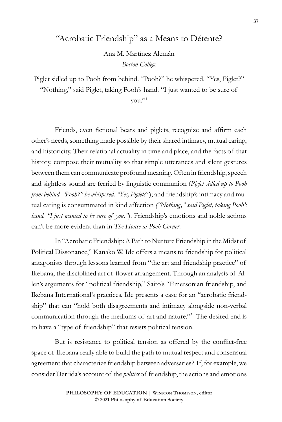## "Acrobatic Friendship" as a Means to Détente?

Ana M. Martínez Alemán *Boston College*

Piglet sidled up to Pooh from behind. "Pooh?" he whispered. "Yes, Piglet?"

"Nothing," said Piglet, taking Pooh's hand. "I just wanted to be sure of

you."1

Friends, even fictional bears and piglets, recognize and affirm each other's needs, something made possible by their shared intimacy, mutual caring, and historicity. Their relational actuality in time and place, and the facts of that history, compose their mutuality so that simple utterances and silent gestures between them can communicate profound meaning. Often in friendship, speech and sightless sound are ferried by linguistic communion (*Piglet sidled up to Pooh from behind. "Pooh?" he whispered. "Yes, Piglet?"*); and friendship's intimacy and mutual caring is consummated in kind affection *("Nothing," said Piglet, taking Pooh's hand. "I just wanted to be sure of you."*). Friendship's emotions and noble actions can't be more evident than in *The House at Pooh Corner*.

In "Acrobatic Friendship: A Path to Nurture Friendship in the Midst of Political Dissonance," Kanako W. Ide offers a means to friendship for political antagonists through lessons learned from "the art and friendship practice" of Ikebana, the disciplined art of flower arrangement. Through an analysis of Allen's arguments for "political friendship," Saito's "Emersonian friendship, and Ikebana International's practices, Ide presents a case for an "acrobatic friendship" that can "hold both disagreements and intimacy alongside non-verbal communication through the mediums of art and nature."2 The desired end is to have a "type of friendship" that resists political tension.

But is resistance to political tension as offered by the conflict-free space of Ikebana really able to build the path to mutual respect and consensual agreement that characterize friendship between adversaries? If, for example, we consider Derrida's account of the *politics* of friendship, the actions and emotions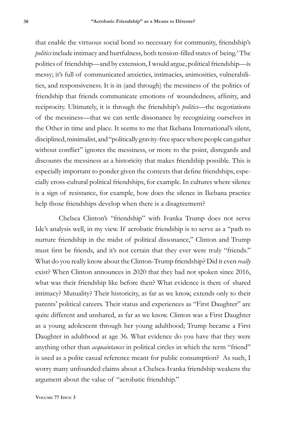that enable the virtuous social bond so necessary for community, friendship's *politics* include intimacy and hurtfulness, both tension-filled states of being.<sup>3</sup> The politics of friendship—and by extension, I would argue, political friendship—is messy; it's full of communicated anxieties, intimacies, animosities, vulnerabilities, and responsiveness. It is in (and through) the messiness of the politics of friendship that friends communicate emotions of woundedness, affinity, and reciprocity. Ultimately, it is through the friendship's *politics*—the negotiations of the messiness—that we can settle dissonance by recognizing ourselves in the Other in time and place. It seems to me that Ikebana International's silent, disciplined, minimalist, and "politically gravity-free space where people can gather without conflict" ignores the messiness, or more to the point, disregards and discounts the messiness as a historicity that makes friendship possible. This is especially important to ponder given the contexts that define friendships, especially cross-cultural political friendships, for example. In cultures where silence is a sign of resistance, for example, how does the silence in Ikebana practice help those friendships develop when there is a disagreement?

Chelsea Clinton's "friendship" with Ivanka Trump does not serve Ide's analysis well, in my view. If acrobatic friendship is to serve as a "path to nurture friendship in the midst of political dissonance," Clinton and Trump must first be friends, and it's not certain that they ever were truly "friends." What do you really know about the Clinton-Trump friendship? Did it even *really* exist? When Clinton announces in 2020 that they had not spoken since 2016, what was their friendship like before then? What evidence is there of shared intimacy? Mutuality? Their historicity, as far as we know, extends only to their parents' political careers. Their status and experiences as "First Daughter" are quite different and unshared, as far as we know. Clinton was a First Daughter as a young adolescent through her young adulthood; Trump became a First Daughter in adulthood at age 36. What evidence do you have that they were anything other than *acquaintances* in political circles in which the term "friend" is used as a polite casual reference meant for public consumption? As such, I worry many unfounded claims about a Chelsea-Ivanka friendship weakens the argument about the value of "acrobatic friendship."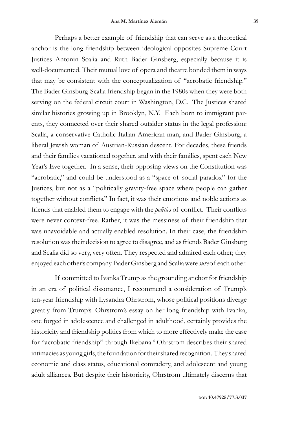Perhaps a better example of friendship that can serve as a theoretical anchor is the long friendship between ideological opposites Supreme Court Justices Antonin Scalia and Ruth Bader Ginsberg, especially because it is well-documented. Their mutual love of opera and theatre bonded them in ways that may be consistent with the conceptualization of "acrobatic friendship." The Bader Ginsburg-Scalia friendship began in the 1980s when they were both serving on the federal circuit court in Washington, D.C. The Justices shared similar histories growing up in Brooklyn, N.Y. Each born to immigrant parents, they connected over their shared outsider status in the legal profession: Scalia, a conservative Catholic Italian-American man, and Bader Ginsburg, a liberal Jewish woman of Austrian-Russian descent. For decades, these friends and their families vacationed together, and with their families, spent each New Year's Eve together. In a sense, their opposing views on the Constitution was "acrobatic," and could be understood as a "space of social paradox" for the Justices, but not as a "politically gravity-free space where people can gather together without conflicts." In fact, it was their emotions and noble actions as friends that enabled them to engage with the *politics* of conflict. Their conflicts were never context-free. Rather, it was the messiness of their friendship that was unavoidable and actually enabled resolution. In their case, the friendship resolution was their decision to agree to disagree, and as friends Bader Ginsburg and Scalia did so very, very often. They respected and admired each other; they enjoyed each other's company. Bader Ginsberg and Scalia were *sure* of each other.

If committed to Ivanka Trump as the grounding anchor for friendship in an era of political dissonance, I recommend a consideration of Trump's ten-year friendship with Lysandra Ohrstrom, whose political positions diverge greatly from Trump's. Ohrstrom's essay on her long friendship with Ivanka, one forged in adolescence and challenged in adulthood, certainly provides the historicity and friendship politics from which to more effectively make the case for "acrobatic friendship" through Ikebana.<sup>4</sup> Ohrstrom describes their shared intimacies as young girls, the foundation for their shared recognition. They shared economic and class status, educational comradery, and adolescent and young adult alliances. But despite their historicity, Ohrstrom ultimately discerns that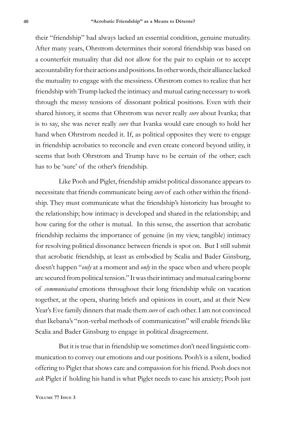their "friendship" had always lacked an essential condition, genuine mutuality. After many years, Ohrstrom determines their sororal friendship was based on a counterfeit mutuality that did not allow for the pair to explain or to accept accountability for their actions and positions. In other words, their alliance lacked the mutuality to engage with the messiness. Ohrstrom comes to realize that her friendship with Trump lacked the intimacy and mutual caring necessary to work through the messy tensions of dissonant political positions. Even with their shared history, it seems that Ohrstrom was never really *sure* about Ivanka; that is to say, she was never really *sure* that Ivanka would care enough to hold her hand when Ohrstrom needed it. If, as political opposites they were to engage in friendship acrobatics to reconcile and even create concord beyond utility, it seems that both Ohrstrom and Trump have to be certain of the other; each has to be 'sure' of the other's friendship.

Like Pooh and Piglet, friendship amidst political dissonance appears to necessitate that friends communicate being *sure* of each other within the friendship. They must communicate what the friendship's historicity has brought to the relationship; how intimacy is developed and shared in the relationship; and how caring for the other is mutual. In this sense, the assertion that acrobatic friendship reclaims the importance of genuine (in my view, tangible) intimacy for resolving political dissonance between friends is spot on. But I still submit that acrobatic friendship, at least as embodied by Scalia and Bader Ginsburg, doesn't happen "*only* at a moment and *only* in the space when and where people are secured from political tension." It was their intimacy and mutual caring borne of *communicated* emotions throughout their long friendship while on vacation together, at the opera, sharing briefs and opinions in court, and at their New Year's Eve family dinners that made them *sure* of each other. I am not convinced that Ikebana's "non-verbal methods of communication" will enable friends like Scalia and Bader Ginsburg to engage in political disagreement.

But it is true that in friendship we sometimes don't need linguistic communication to convey our emotions and our positions. Pooh's is a silent, bodied offering to Piglet that shows care and compassion for his friend. Pooh does not *ask* Piglet if holding his hand is what Piglet needs to ease his anxiety; Pooh just